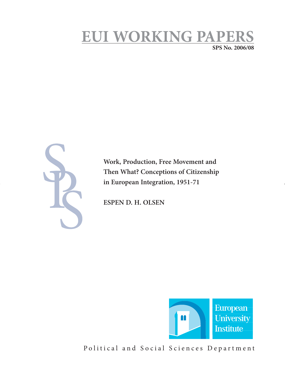# **EUI WORKING PAPE SPS No. 2006/08**

**Work, Production, Free Movement and Then What? Conceptions of Citizenship in European Integration, 1951-71**

**ESPEN D. H. OLSEN** 



Political and Social Sciences Department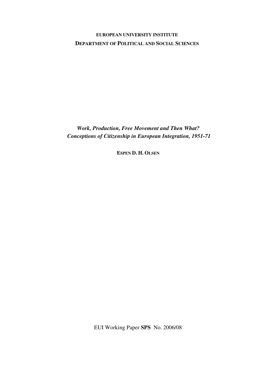### **EUROPEAN UNIVERSITY INSTITUTE DEPARTMENT OF POLITICAL AND SOCIAL SCIENCES**

*Work, Production, Free Movement and Then What? Conceptions of Citizenship in European Integration, 1951-71* 

**ESPEN D. H. OLSEN**

EUI Working Paper **SPS** No. 2006/08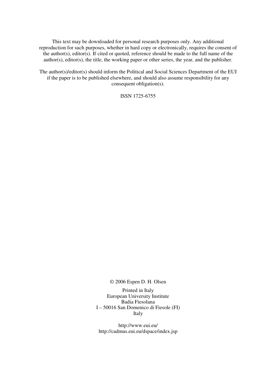This text may be downloaded for personal research purposes only. Any additional reproduction for such purposes, whether in hard copy or electronically, requires the consent of the author(s), editor(s). If cited or quoted, reference should be made to the full name of the author(s), editor(s), the title, the working paper or other series, the year, and the publisher.

The author(s)/editor(s) should inform the Political and Social Sciences Department of the EUI if the paper is to be published elsewhere, and should also assume responsibility for any consequent obligation(s).

ISSN 1725-6755

© 2006 Espen D. H. Olsen

Printed in Italy European University Institute Badia Fiesolana I – 50016 San Domenico di Fiesole (FI) Italy

http://www.eui.eu/ http://cadmus.eui.eu/dspace/index.jsp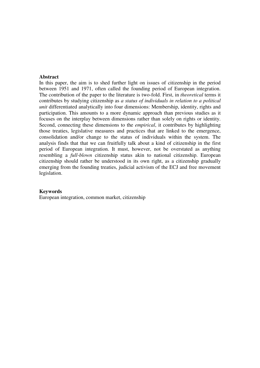#### **Abstract**

In this paper, the aim is to shed further light on issues of citizenship in the period between 1951 and 1971, often called the founding period of European integration. The contribution of the paper to the literature is two-fold. First, in *theoretical* terms it contributes by studying citizenship as *a status of individuals in relation to a political unit* differentiated analytically into four dimensions: Membership, identity, rights and participation. This amounts to a more dynamic approach than previous studies as it focuses on the interplay between dimensions rather than solely on rights or identity. Second, connecting these dimensions to the *empirical*, it contributes by highlighting those treaties, legislative measures and practices that are linked to the emergence, consolidation and/or change to the status of individuals within the system. The analysis finds that that we can fruitfully talk about a kind of citizenship in the first period of European integration. It must, however, not be overstated as anything resembling a *full-blown* citizenship status akin to national citizenship. European citizenship should rather be understood in its own right, as a citizenship gradually emerging from the founding treaties, judicial activism of the ECJ and free movement legislation.

#### **Keywords**

European integration, common market, citizenship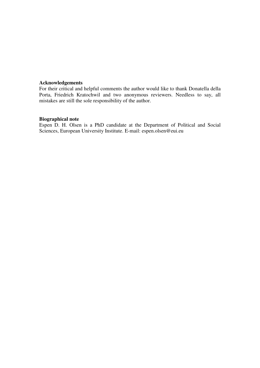#### **Acknowledgements**

For their critical and helpful comments the author would like to thank Donatella della Porta, Friedrich Kratochwil and two anonymous reviewers. Needless to say, all mistakes are still the sole responsibility of the author.

#### **Biographical note**

Espen D. H. Olsen is a PhD candidate at the Department of Political and Social Sciences, European University Institute. E-mail: espen.olsen@eui.eu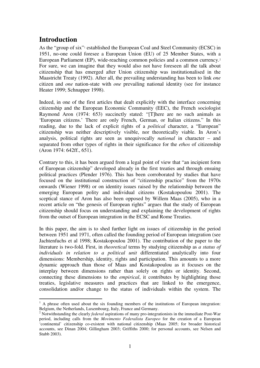# **Introduction**

As the "group of six"<sup>1</sup> established the European Coal and Steel Community (ECSC) in 1951, no-one could foresee a European Union (EU) of 25 Member States, with a European Parliament (EP), wide-reaching common policies and a common currency.<sup>2</sup> For sure, we can imagine that they would also not have foreseen all the talk about citizenship that has emerged after Union citizenship was institutionalised in the Maastricht Treaty (1992). After all, the prevailing understanding has been to link *one*  citizen and *one* nation-state with *one* prevailing national identity (see for instance Heater 1999; Schnapper 1998).

Indeed, in one of the first articles that dealt explicitly with the interface concerning citizenship and the European Economic Community (EEC), the French sociologist Raymond Aron (1974: 653) succinctly stated: "[T]here are no such animals as 'European citizens.' There are only French, German, or Italian citizens." In this reading, due to the lack of explicit rights of a *political* character, a "European" citizenship was neither descriptively visible, nor theoretically viable. In Aron's analysis, political rights are seen as unequivocally *national* in character – and separated from other types of rights in their significance for the *ethos* of citizenship (Aron 1974: 642ff., 651).

Contrary to this, it has been argued from a legal point of view that "an incipient form of European citizenship" developed already in the first treaties and through ensuing political practices (Plender 1976). This has been corroborated by studies that have focused on the institutional construction of "citizenship practice" from the 1970s onwards (Wiener 1998) or on identity issues raised by the relationship between the emerging European polity and individual citizens (Kostakopoulou 2001). The sceptical stance of Aron has also been opposed by Willem Maas (2005), who in a recent article on "the genesis of European rights" argues that the study of European citizenship should focus on understanding and explaining the development of rights from the outset of European integration in the ECSC and Rome Treaties.

In this paper, the aim is to shed further light on issues of citizenship in the period between 1951 and 1971, often called the founding period of European integration (see Jachtenfuchs et al 1998; Kostakopoulou 2001). The contribution of the paper to the literature is two-fold. First, in *theoretical* terms by studying citizenship as *a status of individuals in relation to a political unit* differentiated analytically into four dimensions: Membership, identity, rights and participation. This amounts to a more dynamic approach than those of Maas and Kostakopoulou as it focuses on the interplay between dimensions rather than solely on rights or identity. Second, connecting these dimensions to the *empirical*, it contributes by highlighting those treaties, legislative measures and practices that are linked to the emergence, consolidation and/or change to the status of individuals within the system. The

 $\overline{a}$ <sup>1</sup> A phrase often used about the six founding members of the institutions of European integration: Belgium, the Netherlands, Luxembourg, Italy, France and Germany.

<sup>&</sup>lt;sup>2</sup> Notwithstanding the clearly *federal* aspirations of many pro-integrationists in the immediate Post-War period, including calls from the *Movimento Federalista Europeo* for the creation of a European 'continental' citizenship co-existent with national citizenship (Maas 2005; for broader historical accounts, see Dinan 2004; Gillingham 2003; Griffiths 2000; for personal accounts, see Nelsen and Stubb 2003).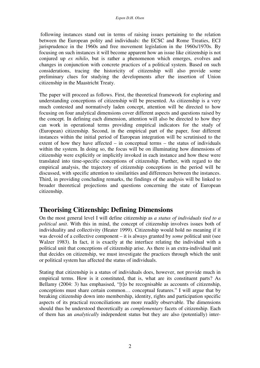following instances stand out in terms of raising issues pertaining to the relation between the European polity and individuals: the ECSC and Rome Treaties, ECJ jurisprudence in the 1960s and free movement legislation in the 1960s/1970s. By focusing on such instances it will become apparent how an issue like citizenship is not conjured up *ex nihilo*, but is rather a phenomenon which emerges, evolves and changes in conjunction with concrete practices of a political system. Based on such considerations, tracing the historicity of citizenship will also provide some preliminary clues for studying the developments after the insertion of Union citizenship in the Maastricht Treaty.

The paper will proceed as follows. First, the theoretical framework for exploring and understanding conceptions of citizenship will be presented. As citizenship is a very much contested and normatively laden concept, attention will be directed to how focusing on four analytical dimensions cover different aspects and questions raised by the concept. In defining each dimension, attention will also be directed to how they can work in operational terms providing empirical indicators for the study of (European) citizenship. Second, in the empirical part of the paper, four different instances within the initial period of European integration will be scrutinised to the extent of how they have affected – in conceptual terms – the status of individuals within the system. In doing so, the focus will be on illuminating how dimensions of citizenship were explicitly or implicitly invoked in each instance and how these were translated into time-specific conceptions of citizenship. Further, with regard to the empirical analysis, the trajectory of citizenship conceptions in the period will be discussed, with specific attention to similarities and differences between the instances. Third, in providing concluding remarks, the findings of the analysis will be linked to broader theoretical projections and questions concerning the state of European citizenship.

## **Theorising Citizenship: Defining Dimensions**

On the most general level I will define citizenship as *a status of individuals tied to a political unit*. With this in mind, the concept of citizenship involves issues both of individuality and collectivity (Heater 1999). Citizenship would hold no meaning if it was devoid of a collective component – it is always granted by *some* political unit (see Walzer 1983). In fact, it is exactly at the interface relating the individual with a political unit that conceptions of citizenship arise. As there is an extra-individual unit that decides on citizenship, we must investigate the practices through which the unit or political system has affected the status of individuals.

Stating that citizenship is a status of individuals does, however, not provide much in empirical terms. How is it constituted, that is, what are its constituent parts? As Bellamy (2004: 3) has emphasised, "[t]o be recognisable as accounts of citizenship, conceptions must share certain common… conceptual features." I will argue that by breaking citizenship down into membership, identity, rights and participation specific aspects of its practical reconciliations are more readily observable. The dimensions should thus be understood theoretically as *complementary* facets of citizenship. Each of them has an *analytically* independent status but they are also (potentially) inter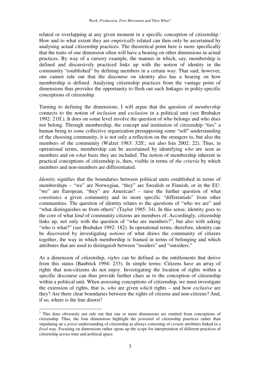related or overlapping at any given moment in a specific conception of citizenship.<sup>3</sup> How and to what extent they are *empirically* related can then only be ascertained by analysing actual citizenship practices. The theoretical point here is more specifically that the traits of one dimension often will have a bearing on other dimensions in actual practices. By way of a cursory example, the manner in which, say, membership is defined and discursively practiced links up with the notion of identity in the community "established" by defining members in a certain way. That said, however, one cannot rule out that the discourse on identity also has a bearing on how membership is defined. Analysing citizenship practices from the vantage point of dimensions thus provides the opportunity to flesh out such linkages in polity-specific conceptions of citizenship.

Turning to defining the dimensions, I will argue that the question of *membership* connects to the notion of *inclusion* and *exclusion* in a political unit (see Brubaker 1992: 21ff.). It does on some level involve the question of who belongs and who does not belong. Through membership, the concept and institution of citizenship "ties" a human being to *some* collective organization presupposing some "self"-understanding of the choosing community, it is not only a reflection on the strangers to, but also the members of the community (Walzer 1983: 32ff.; see also Isin 2002: 22). Thus, in operational terms, membership can be ascertained by identifying *who* are seen as members and on *what* basis they are included. The notion of membership inherent in practical conceptions of citizenship is, then, visible in terms of *the criteria* by which members and non-members are differentiated.

*Identity* signifies that the boundaries between political units established in terms of memberships – "we" are Norwegian, "they" are Swedish or Finnish, or in the EU: "we" are European, "they" are American? – raise the further question of what *constitutes* a given community and its more specific "differentials" from other communities. The question of identity relates to the questions of "who we are" and "what distinguishes us from others" (Taylor 1985: 34). In this sense, identity goes to the core of what *kind* of community citizens are members of. Accordingly, citizenship links up, not only with the question of "who are members?", but also with asking "who *is* what?" (see Brubaker 1992: 182). In operational terms, therefore, identity can be discovered by investigating *notions* of what draws the community of citizens together, the way in which membership is framed in terms of belonging and which attributes that are used to distinguish between "insiders" and "outsiders."

As a dimension of citizenship, *rights* can be defined as the entitlements that derive from this status (Bauböck 1994: 233). In simple terms: Citizens have an array of rights that non-citizens do not enjoy. Investigating the location of rights within a specific discourse can thus provide further clues as to the conception of citizenship within a political unit. When assessing conceptions of citizenship, we must investigate the extension of rights, that is, *who* are given *which* rights – and how *exclusive* are they? Are there clear boundaries between the rights of citizens and non-citizens? And, if so, where is the line drawn?

<sup>&</sup>lt;sup>3</sup> This does obviously not rule out that one or more dimensions are omitted from conceptions of citizenship. Thus, the four dimensions highlight the *potential* of citizenship practices rather than stipulating an *a priori* understanding of citizenship as always consisting of *certain* attributes linked in a *fixed* way. Focusing on dimensions rather opens up the scope for interpretation of different practices of citizenship across time and political space.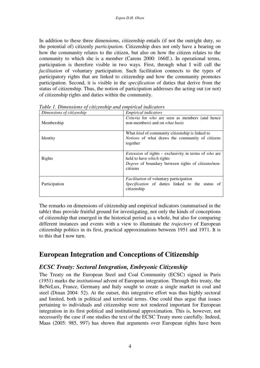In addition to these three dimensions, citizenship entails (if not the outright duty, so the potential of) citizenly *participation*. Citizenship does not only have a bearing on how the community relates to the citizen, but also on how the citizen relates to the community to which she is a member (Carens 2000: 166ff.). In operational terms, participation is therefore visible in two ways. First, through what I will call the *facilitation* of voluntary participation. Such facilitation connects to the types of participatory rights that are linked to citizenship and how the community promotes participation. Second, it is visible in the *specification* of duties that derive from the status of citizenship. Thus, the notion of participation addresses the acting out (or not) of citizenship rights and duties within the community.

| <b>T</b> able 1. Dimensions of chile, ching and chip if icul mateurors |                                                                                                                                                                           |  |  |
|------------------------------------------------------------------------|---------------------------------------------------------------------------------------------------------------------------------------------------------------------------|--|--|
| Dimensions of citizenship                                              | <i>Empirical indicators</i>                                                                                                                                               |  |  |
| Membership                                                             | Criteria for who are seen as members (and hence<br>non-members) and on <i>what basis</i>                                                                                  |  |  |
| Identity                                                               | What <i>kind</i> of community citizenship is linked to<br><i>Notions</i> of what draws the community of citizens<br>together                                              |  |  |
| Rights                                                                 | <i>Extension</i> of rights – exclusivity in terms of who are<br>held to have <i>which</i> rights<br><i>Degree</i> of boundary between rights of citizens/non-<br>citizens |  |  |
| Participation                                                          | <i>Facilitation</i> of voluntary participation<br><i>Specification</i> of duties linked to the status of<br>citizenship                                                   |  |  |

*Table 1. Dimensions of citizenship and empirical indicators* 

The remarks on dimensions of citizenship and empirical indicators (summarised in the table) thus provide fruitful ground for investigating, not only the kinds of conceptions of citizenship that emerged in the historical period as a whole, but also for comparing different instances and events with a view to illuminate the *trajectory* of European citizenship politics in its first, practical approximations between 1951 and 1971. It is to this that I now turn.

## **European Integration and Conceptions of Citizenship**

### *ECSC Treaty: Sectoral Integration, Embryonic Citizenship*

The Treaty on the European Steel and Coal Community (ECSC) signed in Paris (1951) marks the *institutional* advent of European integration. Through this treaty, the BeNeLux, France, Germany and Italy sought to create a single market in coal and steel (Dinan 2004: 52). At the outset, this integrative effort was thus highly sectoral and limited, both in political and territorial terms. One could thus argue that issues pertaining to individuals and citizenship were not rendered important for European integration in its first political and institutional approximation. This is, however, not necessarily the case if one studies the text of the ECSC Treaty more carefully. Indeed, Maas (2005: 985, 997) has shown that arguments over European rights have been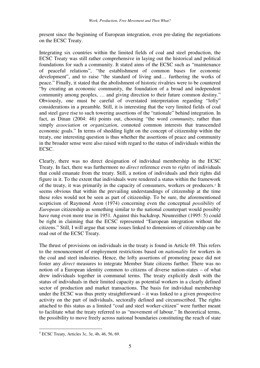present since the beginning of European integration, even pre-dating the negotiations on the ECSC Treaty.

Integrating six countries within the limited fields of coal and steel production, the ECSC Treaty was still rather comprehensive in laying out the historical and political foundations for such a community. It stated aims of the ECSC such as "maintenance of peaceful relations", "the establishment of common bases for economic development", and to raise "the standard of living and… furthering the works of peace." Finally, it stated that the abolishment of historic rivalries were to be countered "by creating an economic community, the foundation of a broad and independent community among peoples, … and giving direction to their future common destiny." Obviously, one must be careful of overstated interpretation regarding "lofty" considerations in a preamble. Still, it is interesting that the very limited fields of coal and steel gave rise to such towering assertions of the "rationale" behind integration. In fact, as Dinan (2004: 46) points out, choosing "the word *community*, rather than simply *association* or *organization*, connoted common interests that transcended economic goals." In terms of shedding light on the concept of citizenship within the treaty, one interesting question is thus whether the assertions of peace and community in the broader sense were also raised with regard to the status of individuals within the ECSC.

Clearly, there was no direct designation of individual membership in the ECSC Treaty. In fact, there was furthermore no *direct* reference even to *rights* of individuals that could emanate from the treaty. Still, a notion of individuals and their rights did figure in it. To the extent that individuals were rendered a status within the framework of the treaty, it was primarily in the capacity of consumers, workers or producers.<sup>4</sup> It seems obvious that within the prevailing understandings of citizenship at the time these roles would not be seen as part of citizenship. To be sure, the aforementioned scepticism of Raymond Aron (1974) concerning even the conceptual *possibility* of *European* citizenship as something similar to the national counterpart would possibly have rung even more true in 1951. Against this backdrop, Neunreither (1995: 5) could be right in claiming that the ECSC represented "European integration without the citizens." Still, I will argue that some issues linked to dimensions of citizenship can be read out of the ECSC Treaty.

The thrust of provisions on individuals in the treaty is found in Article 69. This refers to the renouncement of employment restrictions based on *nationality* for workers in the coal and steel industries. Hence, the lofty assertions of promoting peace did not foster any *direct* measures to integrate Member State citizens further. There was no notion of a European identity common to citizens of diverse nation-states – of what drew individuals together in communal terms. The treaty explicitly dealt with the status of individuals in their limited capacity as potential workers in a clearly defined sector of production and market transactions. The basis for individual membership under the ECSC was thus pretty straightforward – it was linked to a given prospective activity on the part of individuals, sectorally defined and circumscribed. The rights attached to this status as a limited "coal and steel worker-citizen" were further meant to facilitate what the treaty referred to as "movement of labour." In theoretical terms, the possibility to move freely across national boundaries constituting the reach of state

<sup>4</sup> ECSC Treaty, Articles 3c, 3e, 4b, 46, 56, 69.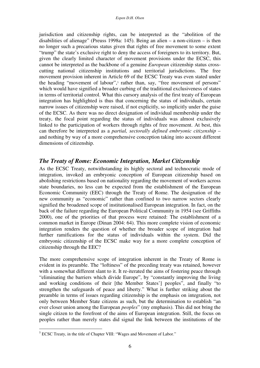jurisdiction and citizenship rights, can be interpreted as the "abolition of the disabilities of alienage" (Preuss 1998a: 145). Being an alien – a non-citizen – is then no longer such a precarious status given that rights of free movement to some extent "trump" the state's exclusive right to deny the access of foreigners to its territory. But, given the clearly limited character of movement provisions under the ECSC, this cannot be interpreted as the backbone of a genuine *European* citizenship status crosscutting national citizenship institutions and territorial jurisdictions. The free movement provision inherent in Article 69 of the ECSC Treaty was even stated under the heading "movement of labour",<sup>5</sup> rather than, say, "free movement of persons" which would have signified a broader curbing of the traditional exclusiveness of states in terms of territorial control. What this cursory analysis of the first treaty of European integration has highlighted is thus that concerning the status of individuals, certain narrow issues of citizenship were raised, if not explicitly, so implicitly under the guise of the ECSC. As there was no direct designation of individual membership under the treaty, the focal point regarding the status of individuals was almost exclusively linked to the participation of workers through rights of free movement. At best, this can therefore be interpreted as a *partial, sectorally defined embryonic citizenship* – and nothing by way of a more comprehensive conception taking into account different dimensions of citizenship.

#### *The Treaty of Rome: Economic Integration, Market Citizenship*

As the ECSC Treaty, notwithstanding its highly sectoral and technocratic mode of integration, invoked an embryonic conception of European citizenship based on abolishing restrictions based on nationality regarding the movement of workers across state boundaries, no less can be expected from the establishment of the European Economic Community (EEC) through the Treaty of Rome. The designation of the new community as "economic" rather than confined to two narrow sectors clearly signified the broadened scope of institutionalised European integration. In fact, on the back of the failure regarding the European Political Community in 1954 (see Griffiths 2000), one of the priorities of that process were retained: The establishment of a common market in Europe (Dinan 2004: 64). This more complete vision of economic integration renders the question of whether the broader scope of integration had further ramifications for the status of individuals within the system. Did the embryonic citizenship of the ECSC make way for a more complete conception of citizenship through the EEC?

The more comprehensive scope of integration inherent in the Treaty of Rome is evident in its preamble. The "loftiness" of the preceding treaty was retained, however with a somewhat different slant to it. It re-iterated the aims of fostering peace through "eliminating the barriers which divide Europe", by "constantly improving the living and working conditions of their [the Member States'] peoples", and finally "to strengthen the safeguards of peace and liberty." What is further striking about the preamble in terms of issues regarding citizenship is the emphasis on integration, not only between Member State citizens as such, but the determination to establish "an ever closer union among the European *peoples*" (my emphasis). This did not bring the single citizen to the forefront of the aims of European integration. Still, the focus on peoples rather than merely states did signal the link between the institutions of the

 5 ECSC Treaty, in the title of Chapter VIII: "Wages and Movement of Labor."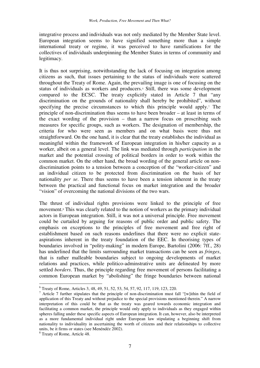integrative process and individuals was not only mediated by the Member State level. European integration seems to have signified something more than a simple international treaty or regime, it was perceived to have ramifications for the collectives of individuals underpinning the Member States in terms of community and legitimacy.

It is thus not surprising, notwithstanding the lack of focusing on integration among citizens as such, that issues pertaining to the status of individuals were scattered throughout the Treaty of Rome. Again, the prevailing image is one of focusing on the status of individuals as workers and producers.<sup>6</sup> Still, there was some development compared to the ECSC. The treaty explicitly stated in Article 7 that "any discrimination on the grounds of nationality shall hereby be prohibited", without specifying the precise circumstances to which this principle would apply.<sup>7</sup> The principle of non-discrimination thus seems to have been broader – at least in terms of the exact wording of the provision – than a narrow focus on proscribing such measures for specific groups, such as workers. The designation of membership, the criteria for who were seen as members and on what basis were thus not straightforward. On the one hand, it is clear that the treaty establishes the individual as meaningful within the framework of European integration in his/her capacity as a worker, albeit on a general level. The link was mediated through *participation* in the market and the potential crossing of political borders in order to work within the common market. On the other hand, the broad wording of the general article on nondiscrimination points to a tension between a conception of the "worker-citizen" and an individual citizen to be protected from discrimination on the basis of her nationality *per se*. There thus seems to have been a tension inherent in the treaty between the practical and functional focus on market integration and the broader "vision" of overcoming the national divisions of the two wars.

The thrust of individual rights provisions were linked to the principle of free movement.<sup>8</sup> This was clearly related to the notion of workers as the primary individual actors in European integration. Still, it was not a universal principle. Free movement could be curtailed by arguing for reasons of public order and public safety. The emphasis on exceptions to the principles of free movement and free right of establishment based on such reasons underlines that there were no explicit stateaspirations inherent in the treaty foundation of the EEC. In theorising types of boundaries involved in "polity-making" in modern Europe, Bartolini (2006: 7ff., 28) has underlined that the limits surrounding market transactions can be seen as *fringes*, that is rather malleable boundaries subject to ongoing developments of market relations and practices, while politico-adminstrative units are delineated by more settled *borders*. Thus, the principle regarding free movement of persons facilitating a common European market by "abolishing" the fringe boundaries between national

<sup>6</sup> Treaty of Rome, Articles 3, 48, 49, 51, 52, 53, 54, 57, 92, 117, 119, 123, 220.

<sup>&</sup>lt;sup>7</sup> Article 7 further stipulates that the principle of non-discrimination must fall "[w]ithin the field of application of this Treaty and without prejudice to the special provisions mentioned therein." A narrow interpretation of this could be that as the treaty was geared towards economic integration and facilitating a common market, the principle would only apply to individuals as they engaged within spheres falling under these specific aspects of European integration. It can, however, also be interpreted as a more fundamental individual right under European law stipulating a beginning shift from nationality to individuality in ascertaining the worth of citizens and their relationships to collective units, be it firms or states (see Menéndéz 2002).

<sup>8</sup> Treaty of Rome, Article 48.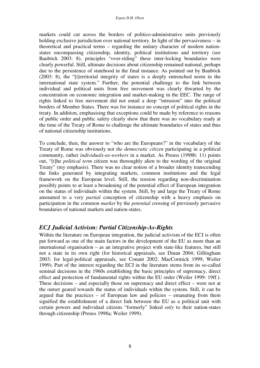markets could cut across the borders of politico-administrative units previously holding exclusive jurisdiction over national territory. In light of the pervasiveness – in theoretical and practical terms – regarding the unitary character of modern nationstates encompassing citizenship, identity, political institutions and territory (see Bauböck 2003: 8), principles "over-riding" these inter-locking boundaries were clearly powerful. Still, ultimate decisions about citizenship remained national, perhaps due to the persistence of statehood in the final instance. As pointed out by Bauböck (2003: 8), the "[t]erritorial integrity of states is a deeply entrenched norm in the international state system." Further, the potential challenge to the link between individual and political units from free movement was clearly thwarted by the concentration on economic integration and market-making in the EEC. The range of rights linked to free movement did not entail a deep "intrusion" into the political borders of Member States. There was for instance no concept of political rights in the treaty. In addition, emphasising that exceptions could be made by reference to reasons of public order and public safety clearly show that there was no vocabulary ready at the time of the Treaty of Rome to challenge the ultimate boundaries of states and thus of national citizenship institutions.

To conclude, then, the answer to "who are the Europeans?" in the vocabulary of the Treaty of Rome was obviously not *the democratic citizen* participating in a political community, rather *individuals-as-workers* in a market. As Preuss (1998b: 11) points out, "[t]he *political term* citizen was thoroughly alien to the wording of the original Treaty" (my emphasis). There was no clear notion of a broader identity transcending the links generated by integrating markets, common institutions and the legal framework on the European level. Still, the tension regarding non-discrimination possibly points to at least a broadening of the potential effect of European integration on the status of individuals within the system. Still, by and large the Treaty of Rome amounted to a very *partial* conception of citizenship with a heavy emphasis on participation in the common *market* by the *potential* crossing of previously pervasive boundaries of national markets and nation-states.

#### *ECJ Judicial Activism: Partial Citizenship-As-Rights*

Within the literature on European integration, the judicial activism of the ECJ is often put forward as one of the main factors in the development of the EU as more than an international organisation – as an integrative project with state-like features, but still not a state in its own right (for historical appraisals, see Dinan 2004; Gillingham 2003; for legal-political appraisals, see Conant 2002; MacCormick 1999; Weiler 1999). Part of the interest regarding the ECJ in the literature stems from its so-called seminal decisions in the 1960s establishing the basic principles of supremacy, direct effect and protection of fundamental rights within the EU order (Weiler 1999: 19ff.). These decisions – and especially those on supremacy and direct effect – were not at the outset geared towards the status of individuals within the system. Still, it can be argued that the practices – of European law and policies – emanating from them signified the establishment of a direct link between the EU as a political unit with certain powers and individual citizens "formerly" linked *only* to their nation-states through citizenship (Preuss 1998a; Weiler 1999).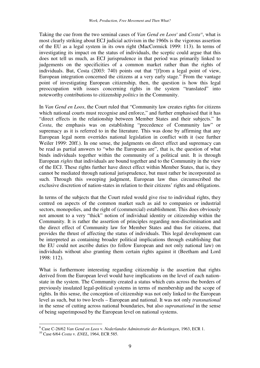Taking the cue from the two seminal cases of *Van Gend en Loos<sup>9</sup>* and *Costa<sup>10</sup>*, what is most clearly striking about ECJ judicial activism in the 1960s is the vigorous assertion of the EU as a legal system in its own right (MacCormick 1999: 113). In terms of investigating its impact on the status of individuals, the sceptic could argue that this does not tell us much, as ECJ jurisprudence in that period was primarily linked to judgements on the specificities of a common market rather than the rights of individuals. But, Costa (2003: 740) points out that "[f]rom a legal point of view, European integration concerned the citizens at a very early stage." From the vantage point of investigating European citizenship, then, the question is how this legal preoccupation with issues concerning rights in the system "translated" into noteworthy contributions to citizenship *politics* in the Community.

In *Van Gend en Loos*, the Court ruled that "Community law creates rights for citizens which national courts must recognise and enforce," and further emphasised that it has "direct effects in the relationship between Member States and their subjects." In *Costa*, the emphasis was on establishing "precedence of Community law" or supremacy as it is referred to in the literature. This was done by affirming that any European legal norm overrides national legislation in conflict with it (see further Weiler 1999: 20ff.). In one sense, the judgments on direct effect and supremacy can be read as partial answers to "who the Europeans are", that is, the question of what binds individuals together within the community of a political unit. It is through European *rights* that individuals are bound together and to the Community in the view of the ECJ. These rights further have direct effect within Member States, that is, they cannot be mediated through national jurisprudence, but must rather be incorporated as such. Through this sweeping judgment, European law thus circumscribed the exclusive discretion of nation-states in relation to their citizens' rights and obligations.

In terms of the subjects that the Court ruled would give rise to individual rights, they centred on aspects of the common market such as aid to companies or industrial sectors, monopolies, and the right of (commercial) establishment. This does obviously not amount to a very "thick" notion of individual identity or citizenship within the Community. It is rather the assertion of principles regarding non-discrimination and the direct effect of Community law for Member States and thus for citizens, that provides the thrust of affecting the status of individuals. This legal development can be interpreted as containing broader political implications through establishing that the EU could not ascribe duties (to follow European and not only national law) on individuals without also granting them certain rights against it (Beetham and Lord 1998: 112).

What is furthermore interesting regarding citizenship is the assertion that rights derived from the European level would have implications on the level of each nationstate in the system. The Community created a status which cuts across the borders of previously insulated legal-political systems in terms of membership and the scope of rights. In this sense, the conception of citizenship was not only linked to the European level as such, but to two levels – European and national. It was not only *transnational* in the sense of cutting across national boundaries, but also *supranational* in the sense of being superimposed by the European level on national systems.

 9 Case C-26/62 *Van Gend en Loos* v. *Nederlandse Adminstratie der Belastingen*, 1963, ECR 1.

<sup>10</sup> Case 6/64 *Costa* v. *ENEL*, 1964, ECR 585.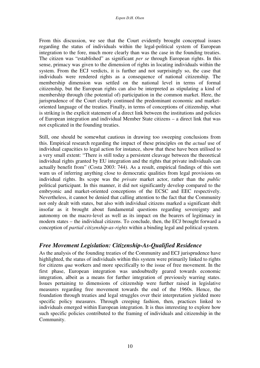From this discussion, we see that the Court evidently brought conceptual issues regarding the status of individuals within the legal-political system of European integration to the fore, much more clearly than was the case in the founding treaties. The citizen was "established" as significant *per se* through European rights. In this sense, primacy was given to the dimension of rights in locating individuals within the system. From the ECJ verdicts, it is further and not surprisingly so, the case that individuals were rendered rights as a consequence of national citizenship. The membership dimension was settled on the national level in terms of formal citizenship, but the European rights can also be interpreted as stipulating a kind of membership through (the potential of) participation in the common market. Here, the jurisprudence of the Court clearly continued the predominant economic and marketoriented language of the treaties. Finally, in terms of conceptions of citizenship, what is striking is the explicit statement of a direct link between the institutions and policies of European integration and individual Member State citizens – a direct link that was not explicated in the founding treaties.

Still, one should be somewhat cautious in drawing too sweeping conclusions from this. Empirical research regarding the impact of these principles on the *actual* use of individual capacities to legal action for instance, show that these have been utilised to a very small extent: "There is still today a persistent cleavage between the theoretical individual rights granted by EU integration and the rights that private individuals can actually benefit from" (Costa 2003: 744). As a result, empirical findings of this sort warn us of inferring anything close to democratic qualities from legal provisions on individual rights. Its scope was the *private* market actor, rather than the *public*  political participant. In this manner, it did not significantly develop compared to the embryonic and market-oriented conceptions of the ECSC and EEC respectively. Nevertheless, it cannot be denied that calling attention to the fact that the Community not only dealt with states, but also with individual citizens marked a significant shift insofar as it brought about fundamental questions regarding sovereignty and autonomy on the macro-level as well as its impact on the bearers of legitimacy in modern states – the individual citizens. To conclude, then, the ECJ brought forward a conception of *partial citizenship-as-rights* within a binding legal and political system.

### *Free Movement Legislation: Citizenship-As-Qualified Residence*

As the analysis of the founding treaties of the Community and ECJ jurisprudence have highlighted, the status of individuals within this system were primarily linked to rights for citizens *qua* workers and more specifically to the issue of free movement. In the first phase, European integration was undoubtedly geared towards economic integration, albeit as a means for further integration of previously warring states. Issues pertaining to dimensions of citizenship were further raised in legislative measures regarding free movement towards the end of the 1960s. Hence, the foundation through treaties and legal struggles over their interpretation yielded more specific policy measures. Through creeping fashion, then, practices linked to individuals emerged within European integration. It is thus interesting to explore how such specific policies contributed to the framing of individuals and citizenship in the Community.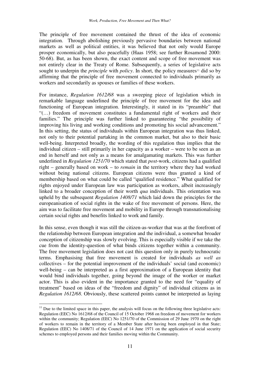The principle of free movement contained the thrust of the idea of economic integration. Through abolishing previously pervasive boundaries between national markets as well as political entities, it was believed that not only would Europe prosper economically, but also peacefully (Haas 1958; see further Rosamond 2000: 50-68). But, as has been shown, the exact content and scope of free movement was not entirely clear in the Treaty of Rome. Subsequently, a series of legislative acts sought to underpin the *principle* with *policy*. In short, the policy measures<sup>11</sup> did so by affirming that the principle of free movement connected to individuals primarily as workers and secondarily as spouses or families of these workers.

For instance, *Regulation 1612/68* was a sweeping piece of legislation which in remarkable language underlined the principle of free movement for the idea and functioning of European integration. Interestingly, it stated in its "preamble" that "(…) freedom of movement constitutes a fundamental right of workers and their families." The principle was further linked to guaranteeing "the possibility of improving his living and working conditions and promoting his social advancement." In this setting, the status of individuals within European integration was thus linked, not only to their potential partaking in the common market, but also to their basic well-being. Interpreted broadly, the wording of this regulation thus implies that the individual citizen – still primarily in her capacity as a worker – were to be seen as an end in herself and not only as a means for amalgamating markets. This was further underlined in *Regulation 1251/70* which stated that *post*-work, citizens had a qualified right – generally based on work – to *remain* in the territory where they had worked without being national citizens. European citizens were thus granted a kind of membership based on what could be called "qualified residence." What qualified for rights enjoyed under European law was participation as workers, albeit increasingly linked to a broader conception of their worth *qua* individuals. This orientation was upheld by the subsequent *Regulation 1408/71* which laid down the principles for the europeanisation of social rights in the wake of free movement of persons. Here, the aim was to facilitate free movement and mobility in Europe through transnationalising certain social rights and benefits linked to work and family.

In this sense, even though it was still the citizen-as-worker that was at the forefront of the relationship between European integration and the individual, a somewhat broader conception of citizenship was slowly evolving. This is especially visible if we take the cue from the identity-question of what binds citizens together within a community. The free movement legislation does not cast this question only in purely technocratic terms. Emphasising that free movement is created for individuals *as well as* collectives – for the potential improvement of the individuals' social (and economic) well-being – can be interpreted as a first approximation of a European identity that would bind individuals together, going beyond the image of the worker or market actor. This is also evident in the importance granted to the need for "equality of treatment" based on ideas of the "freedom and dignity" of individual citizens as in *Regulation 1612/68*. Obviously, these scattered points cannot be interpreted as laying

 $11$  Due to the limited space in this paper, the analysis will focus on the following three legislative acts: Regulation (EEC) No 1612/68 of the Council of 15 October 1968 on freedom of movement for workers within the community; Regulation (EEC) No 1251/70 of the Commission of 29 June 1970 on the right of workers to remain in the territory of a Member State after having been employed in that State; Regulation (EEC) No 1408/71 of the Council of 14 June 1971 on the application of social security schemes to employed persons and their families moving within the Community.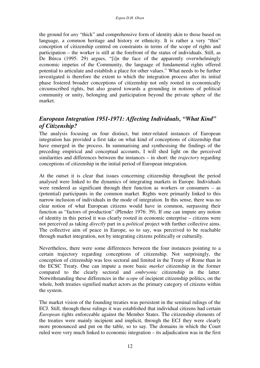the ground for *any* "thick" and comprehensive form of identity akin to those based on language, a common heritage and history or ethnicity. It is rather a very "thin" conception of citizenship centred on constraints in terms of the scope of rights and participation – the worker is still at the forefront of the status of individuals. Still, as De Búrca (1995: 29) argues, "[i]n the face of the apparently overwhelmingly economic impetus of the Community, the language of fundamental rights offered potential to articulate and establish a place for other values." What needs to be further investigated is therefore the extent to which the integration process after its initial phase fostered broader conceptions of citizenship not only rooted in economically circumscribed rights, but also geared towards a grounding in notions of political community or unity, belonging and participation beyond the private sphere of the market.

### *European Integration 1951-1971: Affecting Individuals, "What Kind" of Citizenship?*

The analysis focusing on four distinct, but inter-related instances of European integration has provided a first take on what kind of conceptions of citizenship that have emerged in the process. In summarising and synthesising the findings of the preceding empirical and conceptual accounts, I will shed light on the perceived similarities and differences between the instances – in short: the *trajectory* regarding conceptions of citizenship in the initial period of European integration.

At the outset it is clear that issues concerning citizenship throughout the period analysed were linked to the dynamics of integrating markets in Europe. Individuals were rendered as significant through their function as workers or consumers – as (potential) participants in the common market. Rights were primarily linked to this narrow inclusion of individuals in the mode of integration. In this sense, there was no clear notion of what European citizens would have in common, surpassing their function as "factors of production" (Plender 1976: 39). If one can impute any notion of identity in this period it was clearly rooted in economic enterprise – citizens were not perceived as taking *directly* part in a *political* project with further collective aims. The collective aim of peace in Europe, so to say, was perceived to be reachable through market integration, not by integrating citizens politically or culturally.

Nevertheless, there were some differences between the four instances pointing to a certain trajectory regarding conceptions of citizenship. Not surprisingly, the conception of citizenship was less sectoral and limited in the Treaty of Rome than in the ECSC Treaty. One can impute a more basic *market* citizenship in the former compared to the clearly sectoral and *embryonic* citizenship in the latter. Notwithstanding these differences in the *scope* of incipient citizenship politics, on the whole, both treaties signified market actors as the primary category of citizens within the system.

The market vision of the founding treaties was persistent in the seminal rulings of the ECJ. Still, through these rulings it was established that individual citizens had certain *European* rights enforceable against the Member States. The citizenship elements of the treaties were mainly incipient and implicit, through the ECJ they were clearly more pronounced and put on the table, so to say. The domains in which the Court ruled were very much linked to economic integration – its adjudication was in the first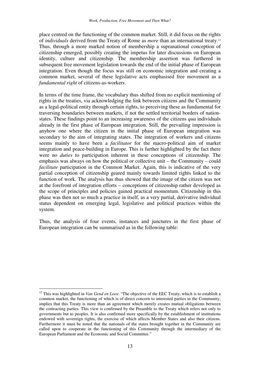place centred on the functioning of the common market. Still, it did focus on the rights of *individuals* derived from the Treaty of Rome as *more* than an international treaty.<sup>12</sup> Thus, through a more marked notion of membership a supranational conception of citizenship emerged, possibly creating the impetus for later discussions on European identity, culture and citizenship. The membership assertion was furthered in subsequent free movement legislation towards the end of the initial phase of European integration. Even though the focus was still on economic integration and creating a common market, several of these legislative acts emphasised free movement as a *fundamental right* of citizens-as-workers.

In terms of the time frame, the vocabulary thus shifted from no explicit mentioning of rights in the treaties, via acknowledging the link between citizens and the Community as a legal-political entity through certain rights, to perceiving these as fundamental for traversing boundaries between markets, if not the settled territorial borders of nationstates. These findings point to an increasing awareness of the citizens *qua* individuals already in the first phase of European integration. Still, the prevailing impression is anyhow one where the citizen in the initial phase of European integration was secondary to the aim of integrating states. The integration of workers and citizens seems mainly to have been a *facilitator* for the macro-political aim of market integration and peace-building in Europe. This is further highlighted by the fact there were no *duties* to participation inherent in these conceptions of citizenship. The emphasis was always on how the political or collective unit – the Community – could *facilitate* participation in the Common Market. Again, this is indicative of the very partial conception of citizenship geared mainly towards limited rights linked to the function of work. The analysis has thus showed that the image of the citizen was not at the forefront of integration efforts – conceptions of citizenship rather developed as the scope of principles and policies gained practical momentum. Citizenship in this phase was then not so much a practice in itself, as a very partial, derivative individual status dependent on emerging legal, legislative and political practices within the system.

Thus, the analysis of four events, instances and junctures in the first phase of European integration can be summarised as in the following table:

<sup>&</sup>lt;sup>12</sup> This was highlighted in *Van Gend en Loos*: "The objective of the EEC Treaty, which is to establish a common market, the functioning of which is of direct concern to interested parties in the Community, implies that this Treaty is more than an agreement which merely creates mutual obligations between the contracting parties. This view is confirmed by the Preamble to the Treaty which refers not only to governments but to peoples. It is also confirmed more specifically by the establishment of institutions endowed with sovereign rights, the exercise of which affects Member States and also their citizens. Furthermore it must be noted that the nationals of the states brought together in the Community are called upon to cooperate in the functioning of this Community through the intermediary of the European Parliament and the Economic and Social Committee."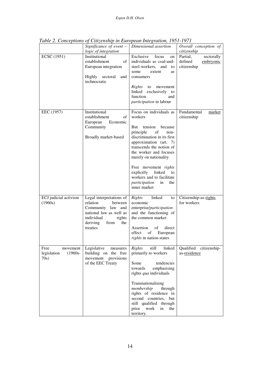|                                                       | Significance of event $-$<br>logic of integration                                                                                                              | Dimensional assertion                                                                                                                                                                                                                                                                                                                                            | Overall conception of<br>citizenship                          |
|-------------------------------------------------------|----------------------------------------------------------------------------------------------------------------------------------------------------------------|------------------------------------------------------------------------------------------------------------------------------------------------------------------------------------------------------------------------------------------------------------------------------------------------------------------------------------------------------------------|---------------------------------------------------------------|
| <b>ECSC</b> (1951)                                    | Institutional<br>establishment<br>of<br>European integration<br>Highly<br>sectoral<br>and<br>technocratic                                                      | Exclusive<br>focus<br>on<br>individuals as coal-and-<br>steel-workers,<br>and<br>to<br>extent<br>some<br><b>as</b><br>consumers<br>Rights<br>to<br>movement<br>linked exclusively to<br>function<br>and<br>participation in labour                                                                                                                               | Partial,<br>sectorally<br>defined<br>embryonic<br>citizenship |
| EEC (1957)                                            | Institutional<br>establishment<br>of<br>European<br>Economic<br>Community<br>Broadly market-based                                                              | Focus on individuals as<br>workers<br>But<br>tension<br>because<br>principle<br>of<br>non-<br>discrimination in its first<br>approximation (art. 7)<br>transcends the notion of<br>the worker and focuses<br>merely on nationality<br>Free movement rights<br>explicitly linked<br>to<br>workers and to facilitate<br>participation<br>in<br>the<br>inner market | Fundamental<br>market<br>citizenship                          |
| ECJ judicial activism<br>(1960s)                      | Legal interpretations of<br>relation<br>between<br>Community law and<br>national law as well as<br>individual<br>rights<br>deriving<br>from<br>the<br>treaties | linked<br>Rights<br>to<br>economic<br>enterprise/participation<br>and the functioning of<br>the common market<br>Assertion<br>direct<br>of<br>effect<br>of<br>European<br><i>rights</i> in nation-states                                                                                                                                                         | Citizenship-as-rights<br>for workers                          |
| Free<br>movement<br>legislation<br>$(1960s -$<br>70s) | Legislative<br>measures<br>building on the free<br>movement provisions<br>of the EEC Treaty                                                                    | Rights<br>still<br>linked<br>primarily to workers<br>Some<br>tendencies<br>towards<br>emphasising<br>rights qua individuals<br>Transnationalising<br>membership<br>through<br>rights of residence in<br>second countries, but<br>still qualified through<br>prior work<br>in<br>the<br>territory.                                                                | Qualified citizenship-<br>as-residence                        |

*Table 2. Conceptions of Citizenship in European Integration, 1951-1971*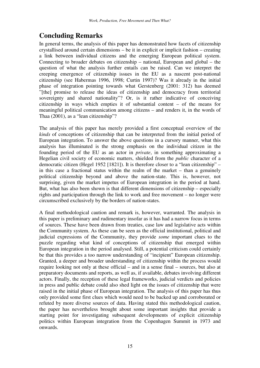# **Concluding Remarks**

In general terms, the analysis of this paper has demonstrated how facets of citizenship crystallised around certain dimensions – be it in explicit or implicit fashion – creating a link between individual citizens and the emerging European political system. Connecting to broader debates on citizenship – national, European and global – the question of what the analysis further entails can be raised. Can we interpret the creeping emergence of citizenship issues in the EU as a nascent post-national citizenship (see Habermas 1996, 1998; Curtin 1997)? Was it already in the initial phase of integration pointing towards what Gerstenberg (2001: 312) has deemed "[the] promise to release the ideas of citizenship and democracy from territorial sovereignty and shared nationality"? Or, is it rather indicative of conceiving citizenship in ways which empties it of substantial content – of the means for meaningful political communication among citizens – and renders it, in the words of Thaa (2001), as a "lean citizenship"?

The analysis of this paper has merely provided a first conceptual overview of the *kinds* of conceptions of citizenship that can be interpreted from the initial period of European integration. To answer the above questions in a cursory manner, what this analysis has illuminated is the strong emphasis on the individual citizen in the founding period of the EU as an actor in *private*, in something approximating a Hegelian civil society of economic matters, shielded from the *public* character of a democratic citizen (Hegel 1952 [1821]). It is therefore closer to a "lean citizenship" – in this case a fractional status within the realm of the market – than a genuinely political citizenship beyond and above the nation-state. This is, however, not surprising, given the market impetus of European integration in the period at hand. But, what has also been shown is that different dimensions of citizenship – especially rights and participation through the link to work and free movement – no longer were circumscribed exclusively by the borders of nation-states.

A final methodological caution and remark is, however, warranted. The analysis in this paper is preliminary and rudimentary insofar as it has had a narrow focus in terms of sources. These have been drawn from treaties, case law and legislative acts within the Community system. As these can be seen as the official institutional, political and judicial expressions of the Community, they provide *some* important clues to the puzzle regarding what kind of conceptions of citizenship that emerged within European integration in the period analysed. Still, a potential criticism could certainly be that this provides a too narrow understanding of "incipient" European citizenship. Granted, a deeper and broader understanding of citizenship within the process would require looking not only at these official – and in a sense final – sources, but also at preparatory documents and reports, as well as, if available, debates involving different actors. Finally, the reception of these legal frameworks, judicial verdicts and policies in press and public debate could also shed light on the issues of citizenship that were raised in the initial phase of European integration. The analysis of this paper has thus only provided some first clues which would need to be backed up and corroborated or refuted by more diverse sources of data. Having stated this methodological caution, the paper has nevertheless brought about some important insights that provide a starting point for investigating subsequent developments of explicit citizenship politics within European integration from the Copenhagen Summit in 1973 and onwards.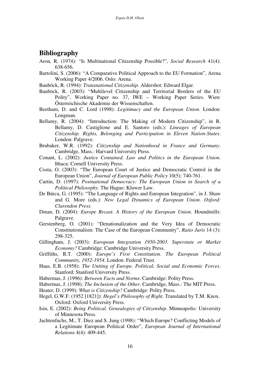### **Bibliography**

- Aron, R. (1974): "Is Multinational Citizenship Possible?", *Social Research* 41(4): 638-656.
- Bartolini, S. (2006): "A Comparative Political Approach to the EU Formation", Arena Working Paper 4/2006. Oslo: Arena.
- Bauböck, R. (1994): *Transnational Citizenship.* Aldershot: Edward Elgar.
- Bauböck, R. (2003): "Multilevel Citizenship and Territorial Borders of the EU Polity", Working Paper no. 37, IWE – Working Paper Series. Wien: Österreichische Akademie der Wissenschaften.
- Beetham, D. and C. Lord (1998): *Legitimacy and the European Union*. London: Longman.
- Bellamy, R. (2004): "Introduction: The Making of Modern Citizenship", in R. Bellamy, D. Castiglione and E. Santoro (eds.): *Lineages of European Citizenship. Rights, Belonging and Participation in Eleven Nation-States*. London: Palgrave.
- Brubaker, W.R. (1992): *Citizenship and Nationhood in France and Germany*. Cambridge, Mass.: Harvard University Press.
- Conant, L. (2002): *Justice Contained. Law and Politics in the European Union*. Ithaca: Cornell University Press.
- Costa, O. (2003): "The European Court of Justice and Democratic Control in the European Union", *Journal of European Public Policy* 10(5): 740-761.
- Curtin, D. (1997): *Postnational Democracy: The European Union in Search of a Political Philosophy*. The Hague: Kluwer Law.
- De Búrca, G. (1995): "The Language of Rights and European Integration", in J. Shaw and G. More (eds.): *New Legal Dynamics of European Union. Oxford: Clarendon Press.*
- Dinan, D. (2004): *Europe Recast. A History of the European Union*. Houndmills: Palgrave.
- Gerstenberg, O. (2001): "Denationalization and the Very Idea of Democratic Constitutionalism: The Case of the European Community", *Ratio Juris* 14 (3): 298-325.
- Gillingham, J. (2003): *European Integration 1950-2003. Superstate or Market Economy?* Cambridge: Cambridge University Press.
- Griffiths, R.T. (2000): *Europe's First Constitution. The European Political Community, 1952-1954*. London: Federal Trust.
- Haas, E.B. (1958): *The Uniting of Europe. Political, Social and Economic Forces*. Stanford: Stanford University Press.
- Habermas, J. (1996): *Between Facts and Norms*. Cambridge: Polity Press.
- Habermas, J. (1998): *The Inclusion of the Other*. Cambridge, Mass.: The MIT Press.
- Heater, D. (1999): *What is Citizenship?* Cambridge: Polity Press.
- Hegel, G.W.F. (1952 [1821]): *Hegel's Philosophy of Right*. Translated by T.M. Knox. Oxford: Oxford University Press.
- Isin, E. (2002): *Being Political. Genealogies of Citizenship*. Minneapolis: University of Minnesota Press.
- Jachtenfuchs, M., T. Diez and S. Jung (1998): "Which Europe? Conflicting Models of a Legitimate European Political Order", *European Journal of International Relations* 4(4): 409-445.